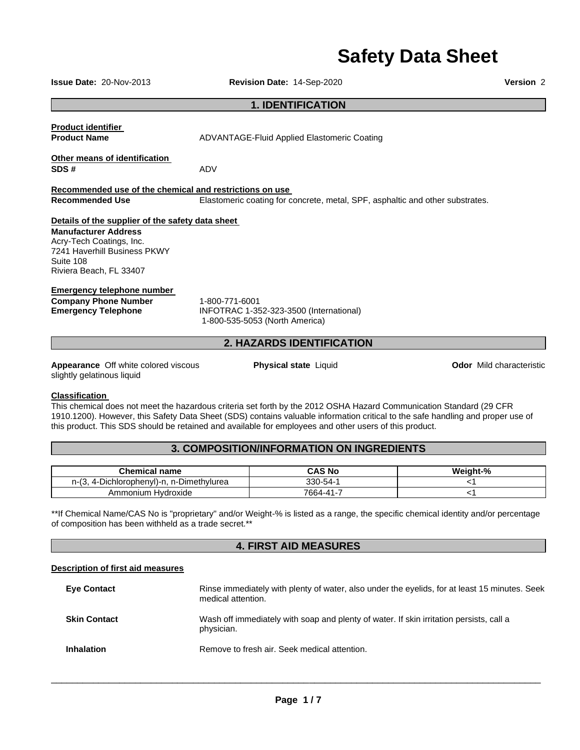# **Safety Data Sheet**

| <b>Issue Date: 20-Nov-2013</b>                                                                                                  | Revision Date: 14-Sep-2020                                                                                                                                                                                                                                                                                                                                       | Version 2                       |
|---------------------------------------------------------------------------------------------------------------------------------|------------------------------------------------------------------------------------------------------------------------------------------------------------------------------------------------------------------------------------------------------------------------------------------------------------------------------------------------------------------|---------------------------------|
| <b>1. IDENTIFICATION</b>                                                                                                        |                                                                                                                                                                                                                                                                                                                                                                  |                                 |
| <b>Product identifier</b><br><b>Product Name</b>                                                                                | <b>ADVANTAGE-Fluid Applied Elastomeric Coating</b>                                                                                                                                                                                                                                                                                                               |                                 |
| Other means of identification<br>SDS#                                                                                           | ADV                                                                                                                                                                                                                                                                                                                                                              |                                 |
| Recommended use of the chemical and restrictions on use                                                                         |                                                                                                                                                                                                                                                                                                                                                                  |                                 |
| <b>Recommended Use</b>                                                                                                          | Elastomeric coating for concrete, metal, SPF, asphaltic and other substrates.                                                                                                                                                                                                                                                                                    |                                 |
| Details of the supplier of the safety data sheet                                                                                |                                                                                                                                                                                                                                                                                                                                                                  |                                 |
| <b>Manufacturer Address</b><br>Acry-Tech Coatings, Inc.<br>7241 Haverhill Business PKWY<br>Suite 108<br>Riviera Beach, FL 33407 |                                                                                                                                                                                                                                                                                                                                                                  |                                 |
| <b>Emergency telephone number</b><br><b>Company Phone Number</b><br><b>Emergency Telephone</b>                                  | 1-800-771-6001<br>INFOTRAC 1-352-323-3500 (International)<br>1-800-535-5053 (North America)                                                                                                                                                                                                                                                                      |                                 |
|                                                                                                                                 | <b>2. HAZARDS IDENTIFICATION</b>                                                                                                                                                                                                                                                                                                                                 |                                 |
| Appearance Off white colored viscous<br>slightly gelatinous liquid                                                              | <b>Physical state Liquid</b>                                                                                                                                                                                                                                                                                                                                     | <b>Odor</b> Mild characteristic |
| <b>Classification</b>                                                                                                           | This chemical does not meet the hazardous criteria set forth by the 2012 OSHA Hazard Communication Standard (29 CFR<br>1910.1200). However, this Safety Data Sheet (SDS) contains valuable information critical to the safe handling and proper use of<br>this product. This SDS should be retained and available for employees and other users of this product. |                                 |

### **3. COMPOSITION/INFORMATION ON INGREDIENTS**

| <b>Chemical name</b>                                           | CAS No         | Weight-% |
|----------------------------------------------------------------|----------------|----------|
| -Dimethvlurea<br>Dichlorophenvl)-n. I<br>$\sim$<br>-171<br>ن ≀ | $330 - 54 - 1$ |          |
| Ammonium<br>Hvdroxide                                          | 7664-41-7      |          |

\*\*If Chemical Name/CAS No is "proprietary" and/or Weight-% is listed as a range, the specific chemical identity and/or percentage of composition has been withheld as a trade secret.\*\*

## **4. FIRST AID MEASURES**

### **Description of first aid measures**

| <b>Eye Contact</b>  | Rinse immediately with plenty of water, also under the eyelids, for at least 15 minutes. Seek<br>medical attention. |
|---------------------|---------------------------------------------------------------------------------------------------------------------|
| <b>Skin Contact</b> | Wash off immediately with soap and plenty of water. If skin irritation persists, call a<br>physician.               |
| <b>Inhalation</b>   | Remove to fresh air. Seek medical attention.                                                                        |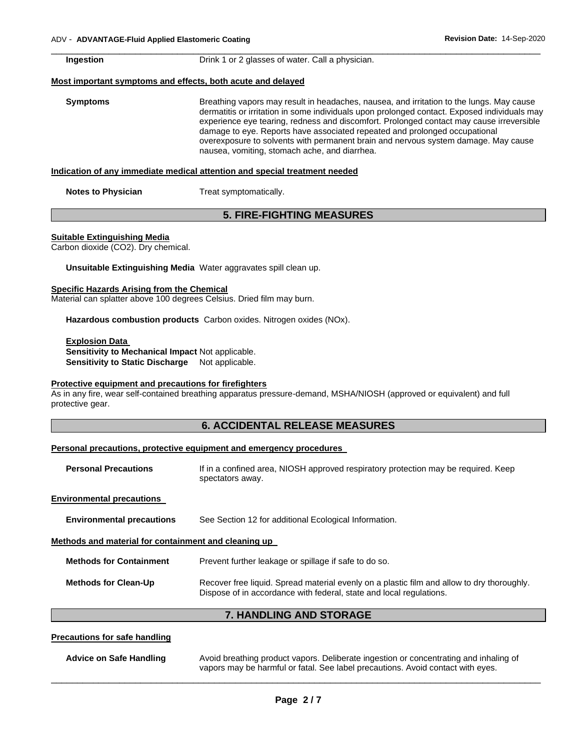| Ingestion                 | Drink 1 or 2 glasses of water. Call a physician.                                                                                                                                                                                                                                                                                                                                                                                                                                                          |  |
|---------------------------|-----------------------------------------------------------------------------------------------------------------------------------------------------------------------------------------------------------------------------------------------------------------------------------------------------------------------------------------------------------------------------------------------------------------------------------------------------------------------------------------------------------|--|
|                           | Most important symptoms and effects, both acute and delayed                                                                                                                                                                                                                                                                                                                                                                                                                                               |  |
| <b>Symptoms</b>           | Breathing vapors may result in headaches, nausea, and irritation to the lungs. May cause<br>dermatitis or irritation in some individuals upon prolonged contact. Exposed individuals may<br>experience eye tearing, redness and discomfort. Prolonged contact may cause irreversible<br>damage to eye. Reports have associated repeated and prolonged occupational<br>overexposure to solvents with permanent brain and nervous system damage. May cause<br>nausea, vomiting, stomach ache, and diarrhea. |  |
|                           | Indication of any immediate medical attention and special treatment needed                                                                                                                                                                                                                                                                                                                                                                                                                                |  |
| <b>Notes to Physician</b> | Treat symptomatically.                                                                                                                                                                                                                                                                                                                                                                                                                                                                                    |  |

\_\_\_\_\_\_\_\_\_\_\_\_\_\_\_\_\_\_\_\_\_\_\_\_\_\_\_\_\_\_\_\_\_\_\_\_\_\_\_\_\_\_\_\_\_\_\_\_\_\_\_\_\_\_\_\_\_\_\_\_\_\_\_\_\_\_\_\_\_\_\_\_\_\_\_\_\_\_\_\_\_\_\_\_\_\_\_\_\_\_\_\_\_

### **5. FIRE-FIGHTING MEASURES**

#### **Suitable Extinguishing Media**

Carbon dioxide (CO2). Dry chemical.

**Unsuitable Extinguishing Media** Water aggravates spill clean up.

#### **Specific Hazards Arising from the Chemical**

Material can splatter above 100 degrees Celsius. Dried film may burn.

**Hazardous combustion products** Carbon oxides. Nitrogen oxides (NOx).

#### **Explosion Data Sensitivity to Mechanical Impact** Not applicable. **Sensitivity to Static Discharge** Not applicable.

#### **Protective equipment and precautions for firefighters**

As in any fire, wear self-contained breathing apparatus pressure-demand, MSHA/NIOSH (approved or equivalent) and full protective gear.

### **6. ACCIDENTAL RELEASE MEASURES**

#### **Personal precautions, protective equipment and emergency procedures**

| <b>Personal Precautions</b> | If in a confined area, NIOSH approved respiratory protection may be required. Keep |
|-----------------------------|------------------------------------------------------------------------------------|
|                             | spectators away.                                                                   |

#### **Environmental precautions**

| <b>Environmental precautions</b> | See Section 12 for additional Ecological Information. |
|----------------------------------|-------------------------------------------------------|
|----------------------------------|-------------------------------------------------------|

#### **Methods and material for containment and cleaning up**

| <b>Methods for Containment</b> | Prevent further leakage or spillage if safe to do so.                                                                                                             |
|--------------------------------|-------------------------------------------------------------------------------------------------------------------------------------------------------------------|
| <b>Methods for Clean-Up</b>    | Recover free liquid. Spread material evenly on a plastic film and allow to dry thoroughly.<br>Dispose of in accordance with federal, state and local regulations. |

### **7. HANDLING AND STORAGE**

#### **Precautions for safe handling**

| <b>Advice on Safe Handling</b> | Avoid breathing product vapors. Deliberate ingestion or concentrating and inhaling of<br>vapors may be harmful or fatal. See label precautions. Avoid contact with eyes. |
|--------------------------------|--------------------------------------------------------------------------------------------------------------------------------------------------------------------------|
|                                |                                                                                                                                                                          |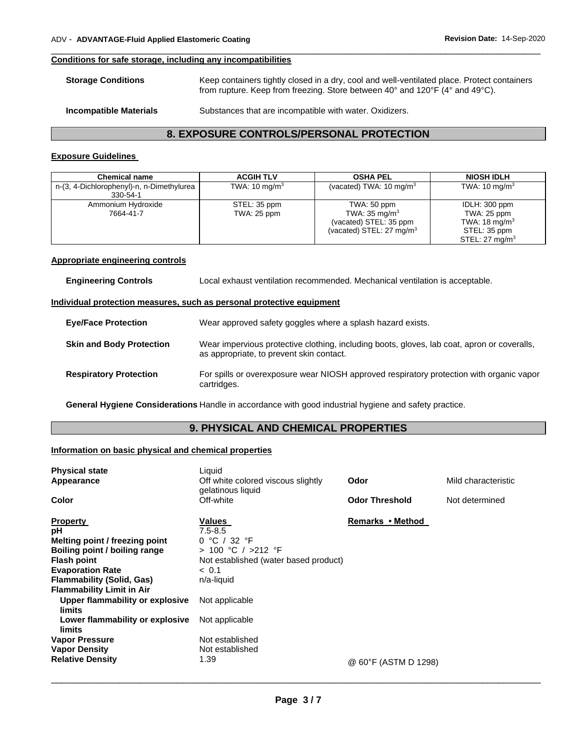#### **Conditions for safe storage, including any incompatibilities**

| <b>Storage Conditions</b> | Keep containers tightly closed in a dry, cool and well-ventilated place. Protect containers<br>from rupture. Keep from freezing. Store between 40 $^{\circ}$ and 120 $^{\circ}$ F (4 $^{\circ}$ and 49 $^{\circ}$ C). |
|---------------------------|-----------------------------------------------------------------------------------------------------------------------------------------------------------------------------------------------------------------------|
| Incompatible Materials    | Substances that are incompatible with water. Oxidizers.                                                                                                                                                               |

\_\_\_\_\_\_\_\_\_\_\_\_\_\_\_\_\_\_\_\_\_\_\_\_\_\_\_\_\_\_\_\_\_\_\_\_\_\_\_\_\_\_\_\_\_\_\_\_\_\_\_\_\_\_\_\_\_\_\_\_\_\_\_\_\_\_\_\_\_\_\_\_\_\_\_\_\_\_\_\_\_\_\_\_\_\_\_\_\_\_\_\_\_

### **8. EXPOSURE CONTROLS/PERSONAL PROTECTION**

### **Exposure Guidelines**

| <b>Chemical name</b>                                  | <b>ACGIH TLV</b>            | <b>OSHA PEL</b>                                                                                          | <b>NIOSH IDLH</b>                                                                                      |
|-------------------------------------------------------|-----------------------------|----------------------------------------------------------------------------------------------------------|--------------------------------------------------------------------------------------------------------|
| n-(3, 4-Dichlorophenyl)-n, n-Dimethylurea<br>330-54-1 | TWA: $10 \text{ mg/m}^3$    | (vacated) TWA: $10 \text{ mg/m}^3$                                                                       | TWA: 10 mg/m <sup>3</sup>                                                                              |
| Ammonium Hydroxide<br>7664-41-7                       | STEL: 35 ppm<br>TWA: 25 ppm | TWA: 50 ppm<br>TWA: $35 \text{ mg/m}^3$<br>(vacated) STEL: 35 ppm<br>(vacated) STEL: $27 \text{ mg/m}^3$ | IDLH: 300 ppm<br>TWA: 25 ppm<br>TWA: 18 mg/m <sup>3</sup><br>STEL: 35 ppm<br>STEL: $27 \text{ mg/m}^3$ |

#### **Appropriate engineering controls**

#### **Individual protection measures, such as personal protective equipment**

| <b>Eve/Face Protection</b>      | Wear approved safety goggles where a splash hazard exists.                                                                              |
|---------------------------------|-----------------------------------------------------------------------------------------------------------------------------------------|
| <b>Skin and Body Protection</b> | Wear impervious protective clothing, including boots, gloves, lab coat, apron or coveralls,<br>as appropriate, to prevent skin contact. |
| <b>Respiratory Protection</b>   | For spills or overexposure wear NIOSH approved respiratory protection with organic vapor<br>cartridges.                                 |

**General Hygiene Considerations** Handle in accordance with good industrial hygiene and safety practice.

### **9. PHYSICAL AND CHEMICAL PROPERTIES**

### **Information on basic physical and chemical properties**

| <b>Physical state</b><br>Appearance                                                                                                                                                                               | Liquid<br>Off white colored viscous slightly<br>gelatinous liquid                                                            | Odor                  | Mild characteristic |
|-------------------------------------------------------------------------------------------------------------------------------------------------------------------------------------------------------------------|------------------------------------------------------------------------------------------------------------------------------|-----------------------|---------------------|
| <b>Color</b>                                                                                                                                                                                                      | Off-white                                                                                                                    | <b>Odor Threshold</b> | Not determined      |
| <b>Property</b><br>рH<br>Melting point / freezing point<br>Boiling point / boiling range<br><b>Flash point</b><br><b>Evaporation Rate</b><br><b>Flammability (Solid, Gas)</b><br><b>Flammability Limit in Air</b> | Values<br>$7.5 - 8.5$<br>0 °C / 32 °F<br>> 100 °C / >212 °F<br>Not established (water based product)<br>~< 0.1<br>n/a-liquid | Remarks • Method      |                     |
| Upper flammability or explosive<br>limits                                                                                                                                                                         | Not applicable                                                                                                               |                       |                     |
| Lower flammability or explosive<br>limits                                                                                                                                                                         | Not applicable                                                                                                               |                       |                     |
| <b>Vapor Pressure</b><br><b>Vapor Density</b><br><b>Relative Density</b>                                                                                                                                          | Not established<br>Not established<br>1.39                                                                                   | @ 60°F (ASTM D 1298)  |                     |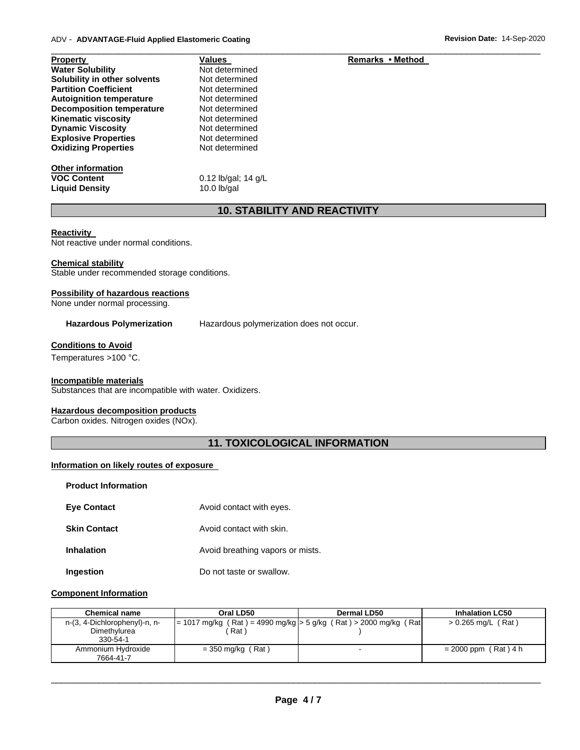| <b>Property</b>                  | <b>Values</b>         | Remarks • Method |
|----------------------------------|-----------------------|------------------|
| <b>Water Solubility</b>          | Not determined        |                  |
| Solubility in other solvents     | Not determined        |                  |
| <b>Partition Coefficient</b>     | Not determined        |                  |
| <b>Autoignition temperature</b>  | Not determined        |                  |
| <b>Decomposition temperature</b> | Not determined        |                  |
| <b>Kinematic viscosity</b>       | Not determined        |                  |
| <b>Dynamic Viscosity</b>         | Not determined        |                  |
| <b>Explosive Properties</b>      | Not determined        |                  |
| <b>Oxidizing Properties</b>      | Not determined        |                  |
| <b>Other information</b>         |                       |                  |
| <b>VOC Content</b>               | 0.12 lb/gal; $14$ g/L |                  |
| <b>Liquid Density</b>            | $10.0$ lb/gal         |                  |

### **10. STABILITY AND REACTIVITY**

\_\_\_\_\_\_\_\_\_\_\_\_\_\_\_\_\_\_\_\_\_\_\_\_\_\_\_\_\_\_\_\_\_\_\_\_\_\_\_\_\_\_\_\_\_\_\_\_\_\_\_\_\_\_\_\_\_\_\_\_\_\_\_\_\_\_\_\_\_\_\_\_\_\_\_\_\_\_\_\_\_\_\_\_\_\_\_\_\_\_\_\_\_

#### **Reactivity**

Not reactive under normal conditions.

#### **Chemical stability**

Stable under recommended storage conditions.

#### **Possibility of hazardous reactions**

None under normal processing.

**Hazardous Polymerization** Hazardous polymerization does not occur.

#### **Conditions to Avoid**

Temperatures >100 °C.

#### **Incompatible materials**

Substances that are incompatible with water. Oxidizers.

#### **Hazardous decomposition products**

Carbon oxides. Nitrogen oxides (NOx).

### **11. TOXICOLOGICAL INFORMATION**

#### **Information on likely routes of exposure**

| <b>Product Information</b> |                                  |
|----------------------------|----------------------------------|
| <b>Eve Contact</b>         | Avoid contact with eyes.         |
| <b>Skin Contact</b>        | Avoid contact with skin.         |
| <b>Inhalation</b>          | Avoid breathing vapors or mists. |
|                            |                                  |

# **Ingestion Do not taste or swallow.**

### **Component Information**

| <b>Chemical name</b>            | Oral LD50           | Dermal LD50                                                        | <b>Inhalation LC50</b> |
|---------------------------------|---------------------|--------------------------------------------------------------------|------------------------|
| n-(3, 4-Dichlorophenyl)-n, n-   |                     | = 1017 mg/kg (Rat) = 4990 mg/kg  > 5 g/kg (Rat) > 2000 mg/kg (Rat) | $> 0.265$ mg/L (Rat)   |
| Dimethylurea<br>330-54-1        | Rat)                |                                                                    |                        |
| Ammonium Hydroxide<br>7664-41-7 | $=$ 350 mg/kg (Rat) |                                                                    | $= 2000$ ppm (Rat) 4 h |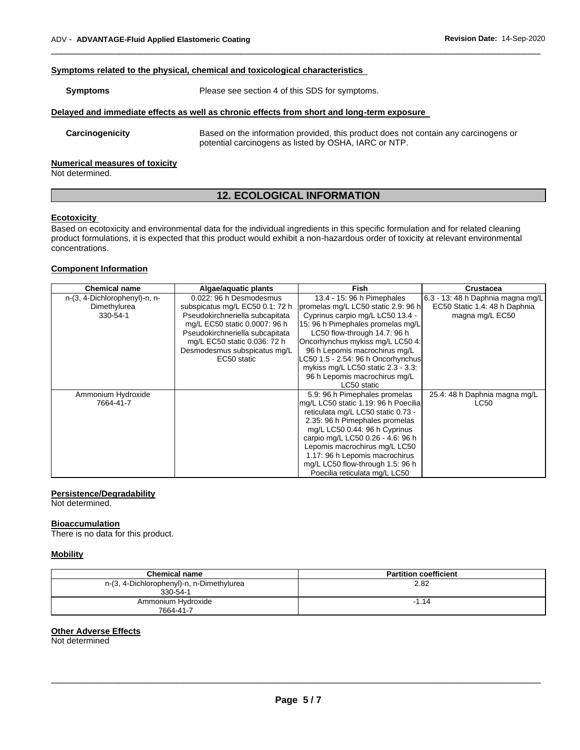#### **Symptoms related to the physical, chemical and toxicological characteristics**

| Symptoms                              | Please see section 4 of this SDS for symptoms.                                                                                               |
|---------------------------------------|----------------------------------------------------------------------------------------------------------------------------------------------|
|                                       | Delayed and immediate effects as well as chronic effects from short and long-term exposure                                                   |
| Carcinogenicity                       | Based on the information provided, this product does not contain any carcinogens or<br>potential carcinogens as listed by OSHA, IARC or NTP. |
| <b>Numerical measures of toxicity</b> |                                                                                                                                              |

\_\_\_\_\_\_\_\_\_\_\_\_\_\_\_\_\_\_\_\_\_\_\_\_\_\_\_\_\_\_\_\_\_\_\_\_\_\_\_\_\_\_\_\_\_\_\_\_\_\_\_\_\_\_\_\_\_\_\_\_\_\_\_\_\_\_\_\_\_\_\_\_\_\_\_\_\_\_\_\_\_\_\_\_\_\_\_\_\_\_\_\_\_

Not determined.

### **12. ECOLOGICAL INFORMATION**

#### **Ecotoxicity**

Based on ecotoxicity and environmental data for the individual ingredients in this specific formulation and for related cleaning product formulations, it is expected that this product would exhibit a non-hazardous order of toxicity at relevant environmental concentrations.

#### **Component Information**

| <b>Chemical name</b>          | Algae/aquatic plants            | <b>Fish</b>                          | <b>Crustacea</b>                  |
|-------------------------------|---------------------------------|--------------------------------------|-----------------------------------|
| n-(3, 4-Dichlorophenyl)-n, n- | 0.022: 96 h Desmodesmus         | 13.4 - 15: 96 h Pimephales           | 6.3 - 13: 48 h Daphnia magna mg/L |
| Dimethylurea                  | subspicatus mg/L EC50 0.1: 72 h | promelas mg/L LC50 static 2.9: 96 h  | EC50 Static 1.4: 48 h Daphnia     |
| 330-54-1                      | Pseudokirchneriella subcapitata | Cyprinus carpio mg/L LC50 13.4 -     | magna mg/L EC50                   |
|                               | mg/L EC50 static 0.0007: 96 h   | 15: 96 h Pimephales promelas mg/L    |                                   |
|                               | Pseudokirchneriella subcapitata | LC50 flow-through 14.7: 96 h         |                                   |
|                               | mg/L EC50 static 0.036: 72 h    | Oncorhynchus mykiss mg/L LC50 4:     |                                   |
|                               | Desmodesmus subspicatus mg/L    | 96 h Lepomis macrochirus mg/L        |                                   |
|                               | EC50 static                     | LC50 1.5 - 2.54: 96 h Oncorhynchus   |                                   |
|                               |                                 | mykiss mg/L LC50 static 2.3 - 3.3:   |                                   |
|                               |                                 | 96 h Lepomis macrochirus mg/L        |                                   |
|                               |                                 | LC50 static                          |                                   |
| Ammonium Hydroxide            |                                 | 5.9: 96 h Pimephales promelas        | 25.4: 48 h Daphnia magna mg/L     |
| 7664-41-7                     |                                 | mg/L LC50 static 1.19: 96 h Poecilia | LC50                              |
|                               |                                 | reticulata mg/L LC50 static 0.73 -   |                                   |
|                               |                                 | 2.35: 96 h Pimephales promelas       |                                   |
|                               |                                 | mg/L LC50 0.44: 96 h Cyprinus        |                                   |
|                               |                                 | carpio mg/L LC50 0.26 - 4.6: 96 h    |                                   |
|                               |                                 | Lepomis macrochirus mg/L LC50        |                                   |
|                               |                                 | 1.17: 96 h Lepomis macrochirus       |                                   |
|                               |                                 | mg/L LC50 flow-through 1.5: 96 h     |                                   |
|                               |                                 | Poecilia reticulata mg/L LC50        |                                   |

#### **Persistence/Degradability**

Not determined.

#### **Bioaccumulation**

There is no data for this product.

#### **Mobility**

| Chemical name                                         | <b>Partition coefficient</b> |
|-------------------------------------------------------|------------------------------|
| n-(3, 4-Dichlorophenyl)-n, n-Dimethylurea<br>330-54-1 | 2.82                         |
| Ammonium Hydroxide<br>7664-41-7                       | $-1.14$                      |

#### **Other Adverse Effects**

Not determined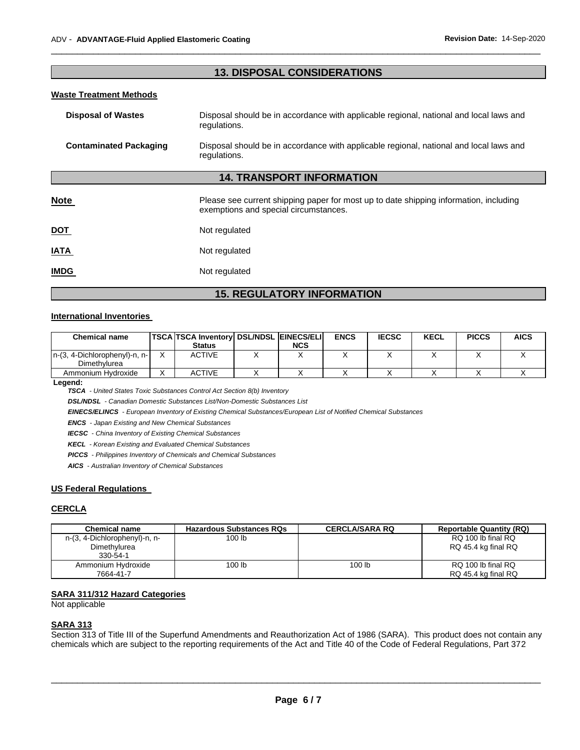### **13. DISPOSAL CONSIDERATIONS**

\_\_\_\_\_\_\_\_\_\_\_\_\_\_\_\_\_\_\_\_\_\_\_\_\_\_\_\_\_\_\_\_\_\_\_\_\_\_\_\_\_\_\_\_\_\_\_\_\_\_\_\_\_\_\_\_\_\_\_\_\_\_\_\_\_\_\_\_\_\_\_\_\_\_\_\_\_\_\_\_\_\_\_\_\_\_\_\_\_\_\_\_\_

#### **Waste Treatment Methods**

| <b>Disposal of Wastes</b>     | Disposal should be in accordance with applicable regional, national and local laws and<br>regulations.                         |  |
|-------------------------------|--------------------------------------------------------------------------------------------------------------------------------|--|
| <b>Contaminated Packaging</b> | Disposal should be in accordance with applicable regional, national and local laws and<br>regulations.                         |  |
|                               | <b>14. TRANSPORT INFORMATION</b>                                                                                               |  |
| <b>Note</b>                   | Please see current shipping paper for most up to date shipping information, including<br>exemptions and special circumstances. |  |
| <u>DOT</u>                    | Not regulated                                                                                                                  |  |
| <b>IATA</b>                   | Not regulated                                                                                                                  |  |
| <b>IMDG</b>                   | Not regulated                                                                                                                  |  |
|                               |                                                                                                                                |  |

### **15. REGULATORY INFORMATION**

#### **International Inventories**

| <b>Chemical name</b>                          | <b>TSCA TSCA Inventory DSL/NDSL EINECS/ELI</b> |            | <b>ENCS</b> | <b>IECSC</b> | <b>KECL</b> | <b>PICCS</b> | <b>AICS</b> |
|-----------------------------------------------|------------------------------------------------|------------|-------------|--------------|-------------|--------------|-------------|
|                                               | <b>Status</b>                                  | <b>NCS</b> |             |              |             |              |             |
| n-(3, 4-Dichlorophenyl)-n, n-<br>Dimethylurea | <b>ACTIVE</b>                                  |            |             |              |             |              |             |
| Ammonium Hydroxide                            | <b>ACTIVE</b>                                  |            |             |              |             |              |             |

**Legend:** 

*TSCA - United States Toxic Substances Control Act Section 8(b) Inventory* 

*DSL/NDSL - Canadian Domestic Substances List/Non-Domestic Substances List* 

*EINECS/ELINCS - European Inventory of Existing Chemical Substances/European List of Notified Chemical Substances* 

*ENCS - Japan Existing and New Chemical Substances* 

*IECSC - China Inventory of Existing Chemical Substances* 

*KECL - Korean Existing and Evaluated Chemical Substances* 

*PICCS - Philippines Inventory of Chemicals and Chemical Substances* 

*AICS - Australian Inventory of Chemical Substances* 

#### **US Federal Regulations**

#### **CERCLA**

| <b>Chemical name</b>          | <b>Hazardous Substances RQs</b> | <b>CERCLA/SARA RQ</b> | <b>Reportable Quantity (RQ)</b> |
|-------------------------------|---------------------------------|-----------------------|---------------------------------|
| n-(3, 4-Dichlorophenyl)-n, n- | 100 lb                          |                       | RQ 100 lb final RQ              |
| Dimethylurea                  |                                 |                       | RQ 45.4 kg final RQ             |
| 330-54-1                      |                                 |                       |                                 |
| Ammonium Hydroxide            | 100 lb                          | 100 lb                | RQ 100 lb final RQ              |
| 7664-41-7                     |                                 |                       | RQ 45.4 kg final RQ             |

#### **SARA 311/312 Hazard Categories**

Not applicable

#### **SARA 313**

Section 313 of Title III of the Superfund Amendments and Reauthorization Act of 1986 (SARA). This product does not contain any chemicals which are subject to the reporting requirements of the Act and Title 40 of the Code of Federal Regulations, Part 372